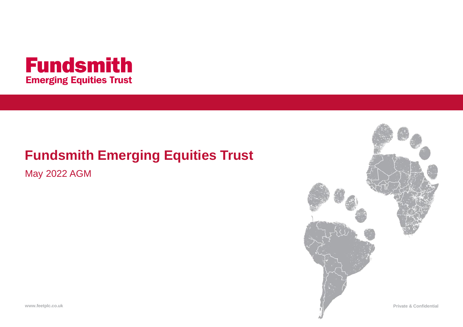

## **Fundsmith Emerging Equities Trust**

May 2022 AGM

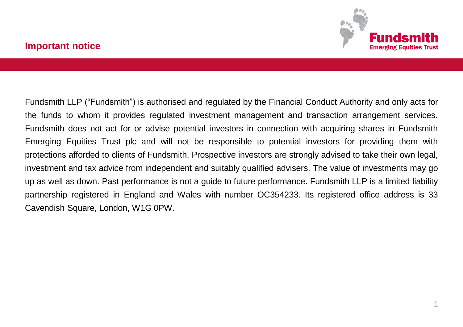Fundsmith LLP ("Fundsmith") is authorised and regulated by the Financial Conduct Authority and only acts for the funds to whom it provides regulated investment management and transaction arrangement services. Fundsmith does not act for or advise potential investors in connection with acquiring shares in Fundsmith Emerging Equities Trust plc and will not be responsible to potential investors for providing them with protections afforded to clients of Fundsmith. Prospective investors are strongly advised to take their own legal, investment and tax advice from independent and suitably qualified advisers. The value of investments may go up as well as down. Past performance is not a guide to future performance. Fundsmith LLP is a limited liability partnership registered in England and Wales with number OC354233. Its registered office address is 33 Cavendish Square, London, W1G 0PW.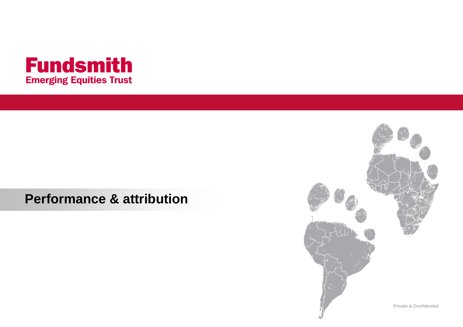

## **Performance & attribution**

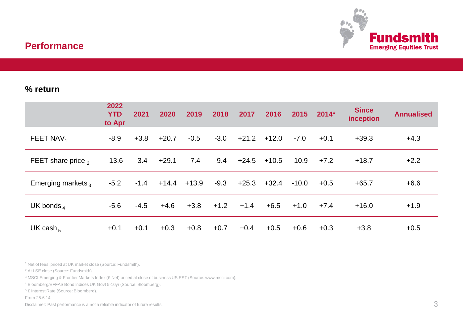

## **Performance**

#### **% return**

|                       | 2022<br><b>YTD</b><br>to Apr | 2021   | 2020    | 2019            | 2018   | 2017    | 2016    | 2015    | $2014*$ | <b>Since</b><br>inception | <b>Annualised</b> |
|-----------------------|------------------------------|--------|---------|-----------------|--------|---------|---------|---------|---------|---------------------------|-------------------|
| FEET NAV <sub>1</sub> | -8.9                         | $+3.8$ | $+20.7$ | $-0.5$          | $-3.0$ | $+21.2$ | $+12.0$ | $-7.0$  | $+0.1$  | $+39.3$                   | $+4.3$            |
| FEET share price $_2$ | $-13.6$                      | $-3.4$ | $+29.1$ | $-7.4$          | $-9.4$ | $+24.5$ | $+10.5$ | $-10.9$ | $+7.2$  | $+18.7$                   | $+2.2$            |
| Emerging markets,     | $-5.2$                       | $-1.4$ |         | $+14.4$ $+13.9$ | $-9.3$ | $+25.3$ | $+32.4$ | $-10.0$ | $+0.5$  | $+65.7$                   | $+6.6$            |
| UK bonds <sub>4</sub> | $-5.6$                       | $-4.5$ | $+4.6$  | $+3.8$          | $+1.2$ | $+1.4$  | $+6.5$  | $+1.0$  | $+7.4$  | $+16.0$                   | $+1.9$            |
| UK cash <sub>5</sub>  | $+0.1$                       | $+0.1$ | $+0.3$  | $+0.8$          | $+0.7$ | $+0.4$  | $+0.5$  | $+0.6$  | $+0.3$  | $+3.8$                    | $+0.5$            |

<sup>1</sup> Net of fees, priced at UK market close (Source: Fundsmith).

<sup>2</sup> At LSE close (Source: Fundsmith).

<sup>3</sup> MSCI Emerging & Frontier Markets Index (£ Net) priced at close of business US EST (Source: www.msci.com).

<sup>4</sup> Bloomberg/EFFAS Bond Indices UK Govt 5-10yr (Source: Bloomberg).

<sup>5</sup> £ Interest Rate (Source: Bloomberg).

From 25.6.14.

Disclaimer: Past performance is a not a reliable indicator of future results.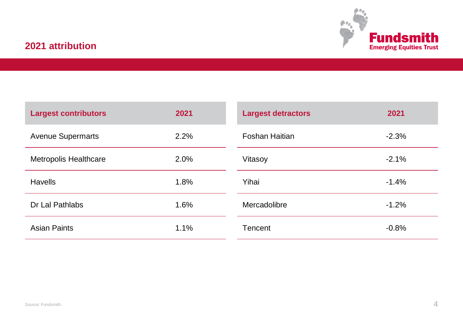

## **2021 attribution**

| <b>Largest contributors</b> | 2021 | <b>Largest detractors</b> | 2021    |
|-----------------------------|------|---------------------------|---------|
| <b>Avenue Supermarts</b>    | 2.2% | Foshan Haitian            | $-2.3%$ |
| Metropolis Healthcare       | 2.0% | Vitasoy                   | $-2.1%$ |
| Havells                     | 1.8% | Yihai                     | $-1.4%$ |
| Dr Lal Pathlabs             | 1.6% | Mercadolibre              | $-1.2%$ |
| Asian Paints                | 1.1% | Tencent                   | $-0.8%$ |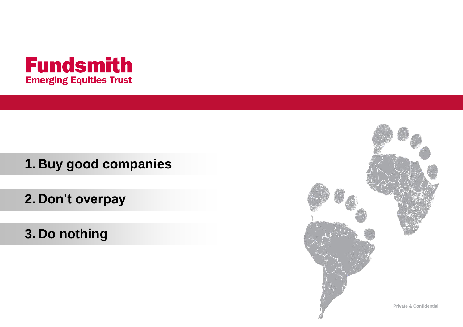

**1. Buy good companies**

**2. Don't overpay**

**3. Do nothing**

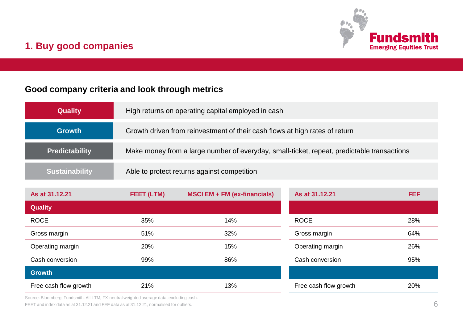

## **1. Buy good companies**

### **Good company criteria and look through metrics**

| <b>Quality</b>        | High returns on operating capital employed in cash                                         |
|-----------------------|--------------------------------------------------------------------------------------------|
| <b>Growth</b>         | Growth driven from reinvestment of their cash flows at high rates of return                |
| <b>Predictability</b> | Make money from a large number of everyday, small-ticket, repeat, predictable transactions |
| <b>Sustainability</b> | Able to protect returns against competition                                                |

| As at 31.12.21        | FEET (LTM) | MSCI EM + FM (ex-financials) | As at 31.12.21        | <b>FEF</b> |
|-----------------------|------------|------------------------------|-----------------------|------------|
| <b>Quality</b>        |            |                              |                       |            |
| <b>ROCE</b>           | 35%        | 14%                          | <b>ROCE</b>           | 28%        |
| Gross margin          | 51%        | 32%                          | Gross margin          | 64%        |
| Operating margin      | 20%        | 15%                          | Operating margin      | 26%        |
| Cash conversion       | 99%        | 86%                          | Cash conversion       | 95%        |
| <b>Growth</b>         |            |                              |                       |            |
| Free cash flow growth | 21%        | 13%                          | Free cash flow growth | 20%        |

Source: Bloomberg, Fundsmith. All LTM, FX-neutral weighted average data, excluding cash. FEET and index data as at 31.12.21 and FEF data as at 31.12.21, normalised for outliers.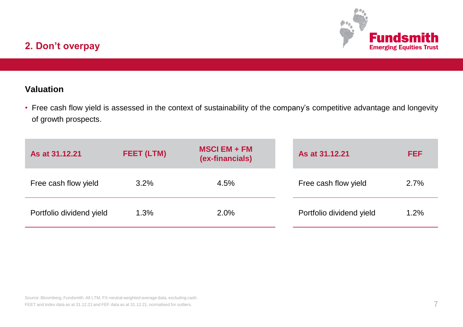

## **2. Don't overpay**

## **Valuation**

• Free cash flow yield is assessed in the context of sustainability of the company's competitive advantage and longevity of growth prospects.

| As at 31.12.21           | FEET (LTM) | $MSCI$ EM + FM<br>(ex-financials) | As at 31.12.21           | FEF  |
|--------------------------|------------|-----------------------------------|--------------------------|------|
| Free cash flow yield     | $3.2\%$    | 4.5%                              | Free cash flow yield     | 2.7% |
| Portfolio dividend yield | 1.3%       | 2.0%                              | Portfolio dividend yield | 1.2% |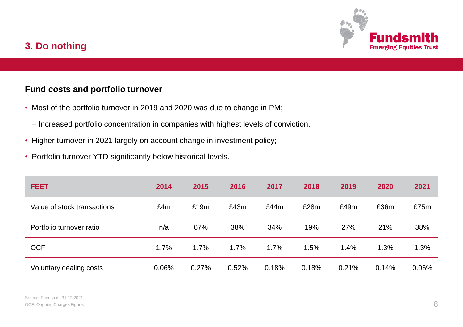

## **3. Do nothing**

#### **Fund costs and portfolio turnover**

- Most of the portfolio turnover in 2019 and 2020 was due to change in PM;
	- Increased portfolio concentration in companies with highest levels of conviction.
- Higher turnover in 2021 largely on account change in investment policy;
- Portfolio turnover YTD significantly below historical levels.

| <b>FEET</b>                 | 2014  | 2015  | 2016  | 2017  | 2018  | 2019  | 2020  | 2021  |
|-----------------------------|-------|-------|-------|-------|-------|-------|-------|-------|
| Value of stock transactions | £4m   | £19m  | £43m  | £44m  | £28m  | £49m  | £36m  | £75m  |
| Portfolio turnover ratio    | n/a   | 67%   | 38%   | 34%   | 19%   | 27%   | 21%   | 38%   |
| <b>OCF</b>                  | 1.7%  | 1.7%  | 1.7%  | 1.7%  | 1.5%  | 1.4%  | 1.3%  | 1.3%  |
| Voluntary dealing costs     | 0.06% | 0.27% | 0.52% | 0.18% | 0.18% | 0.21% | 0.14% | 0.06% |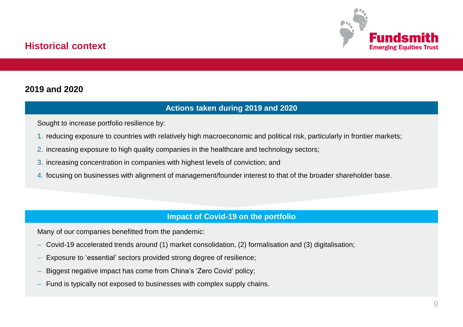

## **Historical context**

#### **2019 and 2020**

#### **Actions taken during 2019 and 2020**

Sought to increase portfolio resilience by:

- 1. reducing exposure to countries with relatively high macroeconomic and political risk, particularly in frontier markets;
- 2. increasing exposure to high quality companies in the healthcare and technology sectors;
- 3. increasing concentration in companies with highest levels of conviction; and
- 4. focusing on businesses with alignment of management/founder interest to that of the broader shareholder base.

#### **Impact of Covid-19 on the portfolio**

Many of our companies benefitted from the pandemic:

- Covid-19 accelerated trends around (1) market consolidation, (2) formalisation and (3) digitalisation;
- Exposure to 'essential' sectors provided strong degree of resilience;
- Biggest negative impact has come from China's 'Zero Covid' policy;
- Fund is typically not exposed to businesses with complex supply chains.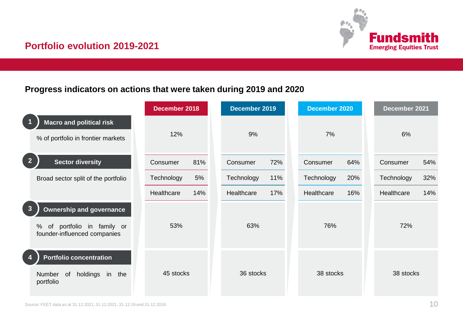

## **Portfolio evolution 2019-2021**

### **Progress indicators on actions that were taken during 2019 and 2020**

|                                                                                                                      | December 2018     | December 2019     | December 2020     | December 2021     |
|----------------------------------------------------------------------------------------------------------------------|-------------------|-------------------|-------------------|-------------------|
| <b>Macro and political risk</b><br>% of portfolio in frontier markets                                                | 12%               | 9%                | 7%                | 6%                |
| $\overline{2}$<br><b>Sector diversity</b>                                                                            | 81%<br>Consumer   | Consumer<br>72%   | 64%<br>Consumer   | 54%<br>Consumer   |
| Broad sector split of the portfolio                                                                                  | 5%<br>Technology  | Technology<br>11% | Technology<br>20% | 32%<br>Technology |
|                                                                                                                      | Healthcare<br>14% | 17%<br>Healthcare | 16%<br>Healthcare | Healthcare<br>14% |
| $\mathbf{3}$<br><b>Ownership and governance</b><br>portfolio in family or<br>of<br>%<br>founder-influenced companies | 53%               | 63%               | 76%               | 72%               |
| Portfolio concentration<br>holdings in<br>Number<br>0f<br>the<br>portfolio                                           | 45 stocks         | 36 stocks         | 38 stocks         | 38 stocks         |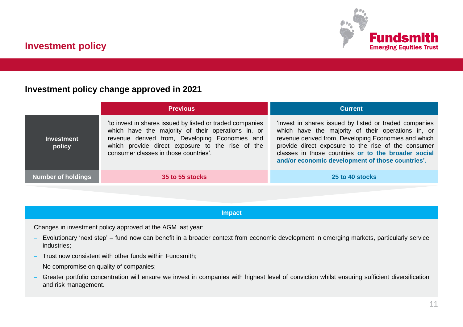

#### **Investment policy change approved in 2021**

|                             | <b>Previous</b>                                                                                                                                                                                                                                                | <b>Current</b>                                                                                                                                                                                                                                                                                                                         |
|-----------------------------|----------------------------------------------------------------------------------------------------------------------------------------------------------------------------------------------------------------------------------------------------------------|----------------------------------------------------------------------------------------------------------------------------------------------------------------------------------------------------------------------------------------------------------------------------------------------------------------------------------------|
| <b>Investment</b><br>policy | 'to invest in shares issued by listed or traded companies<br>which have the majority of their operations in, or<br>revenue derived from, Developing Economies and<br>which provide direct exposure to the rise of the<br>consumer classes in those countries'. | 'invest in shares issued by listed or traded companies<br>which have the majority of their operations in, or<br>revenue derived from, Developing Economies and which<br>provide direct exposure to the rise of the consumer<br>classes in those countries or to the broader social<br>and/or economic development of those countries'. |
| Number of holdings          | 35 to 55 stocks                                                                                                                                                                                                                                                | 25 to 40 stocks                                                                                                                                                                                                                                                                                                                        |

#### **Impact**

Changes in investment policy approved at the AGM last year:

- Evolutionary 'next step' fund now can benefit in a broader context from economic development in emerging markets, particularly service industries;
- Trust now consistent with other funds within Fundsmith;
- No compromise on quality of companies;
- Greater portfolio concentration will ensure we invest in companies with highest level of conviction whilst ensuring sufficient diversification and risk management.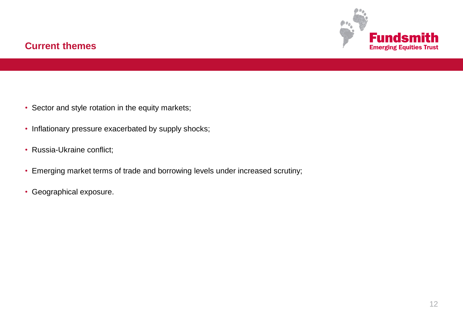

## **Current themes**

- Sector and style rotation in the equity markets;
- Inflationary pressure exacerbated by supply shocks;
- Russia-Ukraine conflict;
- Emerging market terms of trade and borrowing levels under increased scrutiny;
- Geographical exposure.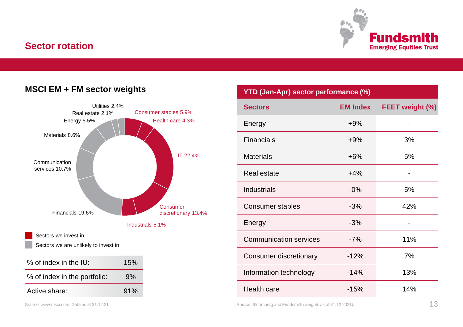### **Sector rotation**



#### **MSCI EM + FM sector weights**



| YTD (Jan-Apr) sector performance (%)                              |                 |                 |  |  |  |  |
|-------------------------------------------------------------------|-----------------|-----------------|--|--|--|--|
| <b>Sectors</b>                                                    | <b>EM Index</b> | FEET weight (%) |  |  |  |  |
| Energy                                                            | $+9%$           |                 |  |  |  |  |
| Financials                                                        | $+9%$           | 3%              |  |  |  |  |
| <b>Materials</b>                                                  | $+6%$           | 5%              |  |  |  |  |
| Real estate                                                       | $+4%$           |                 |  |  |  |  |
| Industrials                                                       | $-0\%$          | 5%              |  |  |  |  |
| Consumer staples                                                  | $-3%$           | 42%             |  |  |  |  |
| Energy                                                            | $-3%$           |                 |  |  |  |  |
| <b>Communication services</b>                                     | $-7%$           | 11%             |  |  |  |  |
| Consumer discretionary                                            | $-12%$          | 7%              |  |  |  |  |
| Information technology                                            | $-14%$          | 13%             |  |  |  |  |
| Health care                                                       | $-15%$          | 14%             |  |  |  |  |
| 13<br>Source: Bloomberg and Fundsmith (weights as of 31.12.2021). |                 |                 |  |  |  |  |

Source: www.msci.com. Data as at 31.12.21.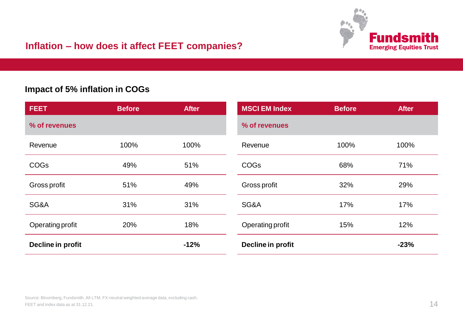

## **Inflation – how does it affect FEET companies?**

#### **Impact of 5% inflation in COGs**

| <b>FEET</b>       | <b>Before</b> | <b>After</b> | <b>MSCI EM Index</b> | <b>Before</b> | <b>After</b> |
|-------------------|---------------|--------------|----------------------|---------------|--------------|
| % of revenues     |               |              | % of revenues        |               |              |
| Revenue           | 100%          | 100%         | Revenue              | 100%          | 100%         |
| <b>COGs</b>       | 49%           | 51%          | <b>COGs</b>          | 68%           | 71%          |
| Gross profit      | 51%           | 49%          | Gross profit         | 32%           | 29%          |
| SG&A              | 31%           | 31%          | SG&A                 | 17%           | 17%          |
| Operating profit  | 20%           | 18%          | Operating profit     | 15%           | 12%          |
| Decline in profit |               | $-12%$       | Decline in profit    |               | $-23%$       |

Source: Bloomberg, Fundsmith. All LTM, FX-neutral weighted average data, excluding cash. FEET and index data as at 31.12.21.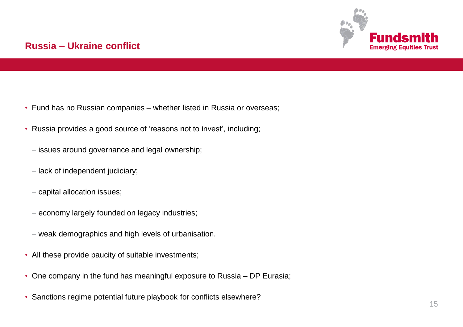

## **Russia – Ukraine conflict**

- Fund has no Russian companies whether listed in Russia or overseas;
- Russia provides a good source of 'reasons not to invest', including;
	- issues around governance and legal ownership;
	- lack of independent judiciary;
	- capital allocation issues;
	- economy largely founded on legacy industries;
	- weak demographics and high levels of urbanisation.
- All these provide paucity of suitable investments;
- One company in the fund has meaningful exposure to Russia DP Eurasia;
- Sanctions regime potential future playbook for conflicts elsewhere?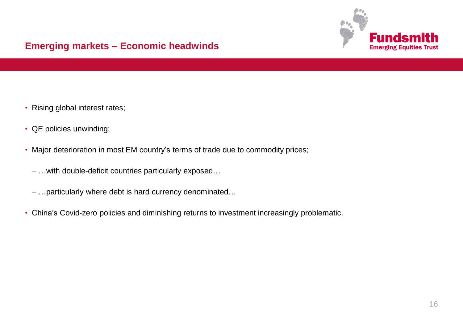

## **Emerging markets – Economic headwinds**

- Rising global interest rates;
- QE policies unwinding;
- Major deterioration in most EM country's terms of trade due to commodity prices;
	- …with double-deficit countries particularly exposed…
	- …particularly where debt is hard currency denominated…
- China's Covid-zero policies and diminishing returns to investment increasingly problematic.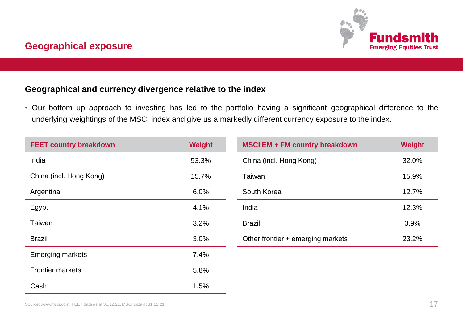

#### **Geographical and currency divergence relative to the index**

• Our bottom up approach to investing has led to the portfolio having a significant geographical difference to the underlying weightings of the MSCI index and give us a markedly different currency exposure to the index.

| <b>FEET country breakdown</b> | Weight |
|-------------------------------|--------|
| India                         | 53.3%  |
| China (incl. Hong Kong)       | 15.7%  |
| Argentina                     | 6.0%   |
| Egypt                         | 4.1%   |
| Taiwan                        | 3.2%   |
| <b>Brazil</b>                 | 3.0%   |
| <b>Emerging markets</b>       | 7.4%   |
| <b>Frontier markets</b>       | 5.8%   |
| Cash                          | 1.5%   |

| <b>MSCI EM + FM country breakdown</b> | Weight |
|---------------------------------------|--------|
| China (incl. Hong Kong)               | 32.0%  |
| Taiwan                                | 15.9%  |
| South Korea                           | 12.7%  |
| India                                 | 12.3%  |
| <b>Brazil</b>                         | 3.9%   |
| Other frontier + emerging markets     | 23.2%  |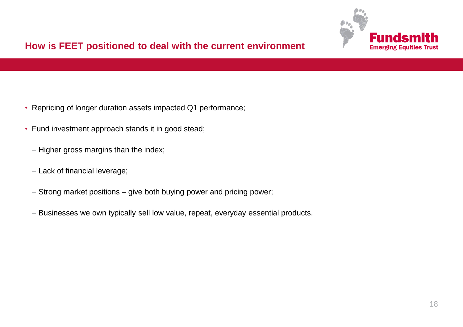

## **How is FEET positioned to deal with the current environment**

- Repricing of longer duration assets impacted Q1 performance;
- Fund investment approach stands it in good stead;
	- Higher gross margins than the index;
	- Lack of financial leverage;
	- Strong market positions give both buying power and pricing power;
	- Businesses we own typically sell low value, repeat, everyday essential products.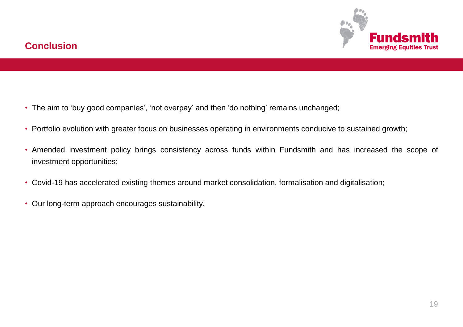

## **Conclusion**

- The aim to 'buy good companies', 'not overpay' and then 'do nothing' remains unchanged;
- Portfolio evolution with greater focus on businesses operating in environments conducive to sustained growth;
- Amended investment policy brings consistency across funds within Fundsmith and has increased the scope of investment opportunities;
- Covid-19 has accelerated existing themes around market consolidation, formalisation and digitalisation;
- Our long-term approach encourages sustainability.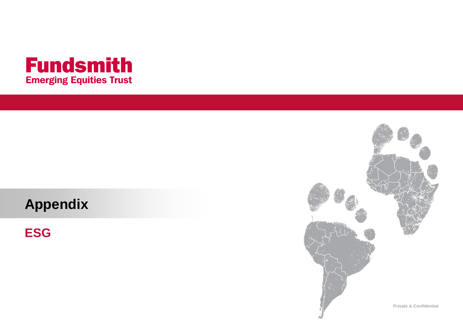

# **Appendix**

**ESG**